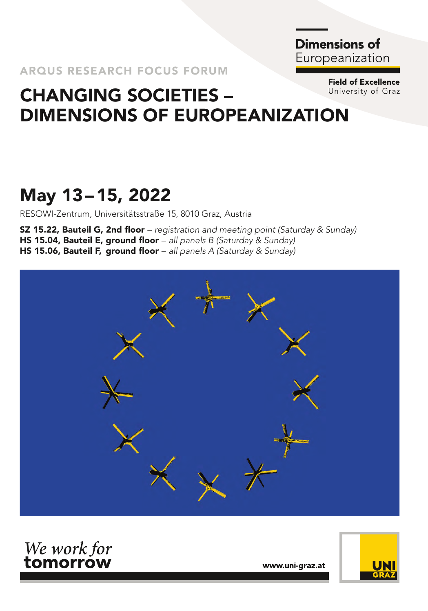**Dimensions of** Europeanization

> **Field of Excellence** University of Graz

## CHANGING SOCIETIES – DIMENSIONS OF EUROPEANIZATION

## May 13–15, 2022

RESOWI-Zentrum, Universitätsstraße 15, 8010 Graz, Austria

SZ 15.22, Bauteil G, 2nd floor – *registration and meeting point (Saturday & Sunday)* HS 15.04, Bauteil E, ground floor – *all panels B (Saturday & Sunday)* HS 15.06, Bauteil F, ground floor – *all panels A (Saturday & Sunday)*





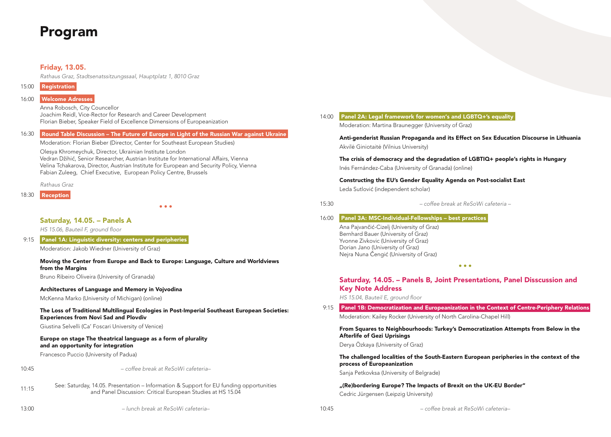## Program

#### Friday, 13.05.

*Rathaus Graz, Stadtsenatssitzungssaal, Hauptplatz 1, 8010 Graz*

| 15:00 | <b>Registration</b> |
|-------|---------------------|
|-------|---------------------|

Anna Robosch, City Councellor Joachim Reidl, Vice-Rector for Research and Career Development Florian Bieber, Speaker Field of Excellence Dimensions of Europeanization

#### 16:30 Round Table Discussion – The Future of Europe in Light of the Russian War against Ukraine

Moderation: Florian Bieber (Director, Center for Southeast European Studies)

Olesya Khromeychuk, Director, Ukrainian Institute London Vedran Džihić, Senior Researcher, Austrian Institute for International Affairs, Vienna Velina Tchakarova, Director, Austrian Institute for European and Security Policy, Vienna Fabian Zuleeg, Chief Executive, European Policy Centre, Brussels

*Rathaus Graz*

18:30 Reception

 $• • •$ 

#### Saturday, 14.05. – Panels A

*HS 15.06, Bauteil F, ground floor*

9:15 Panel 1A: Linguistic diversity: centers and peripheries

Moderation: Jakob Wiedner (University of Graz)

#### Moving the Center from Europe and Back to Europe: Language, Culture and Worldviews from the Margins

Bruno Ribeiro Oliveira (University of Granada)

#### Architectures of Language and Memory in Vojvodina

McKenna Marko (University of Michigan) (online)

#### The Loss of Traditional Multilingual Ecologies in Post-Imperial Southeast European Societies: Experiences from Novi Sad and Plovdiv

Giustina Selvelli (Ca' Foscari University of Venice)

#### Europe on stage The theatrical language as a form of plurality and an opportunity for integration

Francesco Puccio (University of Padua)



10:45 *– coffee break at ReSoWi cafeteria–*

11:15 See: Saturday, 14.05. Presentation – Information & Support for EU funding opportunities and Panel Discussion: Critical European Studies at HS 15.04

### 14:00 Panel 2A: Legal framework for women's and LGBTQ+'s equality

Moderation: Martina Braunegger (University of Graz)

Anti-genderist Russian Propaganda and its Effect on Sex Education Discourse in Lithuania Akvilė Giniotaitė (Vilnius University)

The crisis of democracy and the degradation of LGBTIQ+ people's rights in Hungary Inés Fernández-Caba (University of Granada) (online)

Constructing the EU's Gender Equality Agenda on Post-socialist East Leda Sutlović (independent scholar)

15:30 *– coffee break at ReSoWi cafeteria –*

#### 16:00 Panel 3A: MSC-Individual-Fellowships – best practices

Ana Pajvančić-Cizelj (University of Graz) Bernhard Bauer (University of Graz) Yvonne Zivkovic (University of Graz) Dorian Jano (University of Graz) Nejra Nuna Čengić (University of Graz)

#### Saturday, 14.05. – Panels B, Joint Presentations, Panel Disscussion and Key Note Address

 $\bullet$   $\bullet$   $\bullet$ 

*HS 15.04, Bauteil E, ground floor*

9:15 Panel 1B: Democratization and Europeanization in the Context of Centre-Periphery Relations Moderation: Kailey Rocker (University of North Carolina-Chapel Hill)

From Squares to Neighbourhoods: Turkey's Democratization Attempts from Below in the Afterlife of Gezi Uprisings

Derya Özkaya (University of Graz)

#### The challenged localities of the South-Eastern European peripheries in the context of the process of Europeanization

Sanja Petkovksa (University of Belgrade)

"(Re)bordering Europe? The Impacts of Brexit on the UK-EU Border" Cedric Jürgensen (Leipzig University)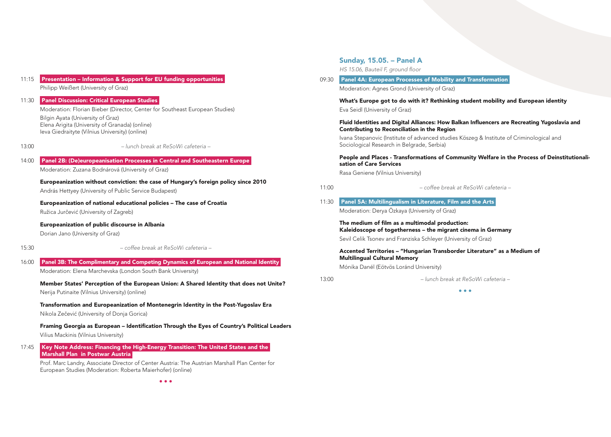#### 11:15 Presentation – Information & Support for EU funding opportunities

Philipp Weißert (University of Graz)

#### 11:30 Panel Discussion: Critical European Studies

Moderation: Florian Bieber (Director, Center for Southeast European Studies) Bilgin Ayata (University of Graz) Elena Arigita (University of Granada) (online)

Ieva Giedraityte (Vilnius University) (online)

13:00 *– lunch break at ReSoWi cafeteria –*

#### 14:00 Panel 2B: (De)europeanisation Processes in Central and Southeastern Europe

Moderation: Zuzana Bodnárová (University of Graz)

Europeanization without conviction: the case of Hungary's foreign policy since 2010

András Hettyey (University of Public Service Budapest)

Europeanization of national educational policies – The case of Croatia Ružica Jurčević (University of Zagreb)

Europeanization of public discourse in Albania

Dorian Jano (University of Graz)

#### 15:30 *– coffee break at ReSoWi cafeteria –*

16:00 Panel 3B: The Complimentary and Competing Dynamics of European and National Identity Moderation: Elena Marchevska (London South Bank University)

Member States' Perception of the European Union: A Shared Identity that does not Unite? Nerija Putinaite (Vilnius University) (online)

Transformation and Europeanization of Montenegrin Identity in the Post-Yugoslav Era Nikola Zečević (University of Donja Gorica)

Framing Georgia as European – Identification Through the Eyes of Country's Political Leaders Vilius Mackinis (Vilnius University)

17:45 Key Note Address: Financing the High-Energy Transition: The United States and the Marshall Plan in Postwar Austria

Prof. Marc Landry, Associate Director of Center Austria: The Austrian Marshall Plan Center for European Studies (Moderation: Roberta Maierhofer) (online)

#### Sunday, 15.05. – Panel A

*HS 15.06, Bauteil F, ground floor*

09:30 Panel 4A: European Processes of Mobility and Transformation Moderation: Agnes Grond (University of Graz)

> What's Europe got to do with it? Rethinking student mobility and European identity Eva Seidl (University of Graz)

#### Fluid Identities and Digital Alliances: How Balkan Influencers are Recreating Yugoslavia and Contributing to Reconciliation in the Region

Ivana Stepanovic (Institute of advanced studies Köszeg & Institute of Criminological and Sociological Research in Belgrade, Serbia)

#### People and Places - Transformations of Community Welfare in the Process of Deinstitutionalisation of Care Services

Rasa Geniene (Vilnius University)

11:00 *– coffee break at ReSoWi cafeteria –*

#### 11:30 Panel 5A: Multilingualism in Literature, Film and the Arts

Moderation: Derya Özkaya (University of Graz)

The medium of film as a multimodal production: Kaleidoscope of togetherness – the migrant cinema in Germany Sevil Celik Tsonev and Franziska Schleyer (University of Graz)

#### Accented Territories – "Hungarian Transborder Literature" as a Medium of Multilingual Cultural Memory

Mónika Danél (Eötvös Loránd University)

13:00 *– lunch break at ReSoWi cafeteria –*

 $\bullet\bullet\bullet$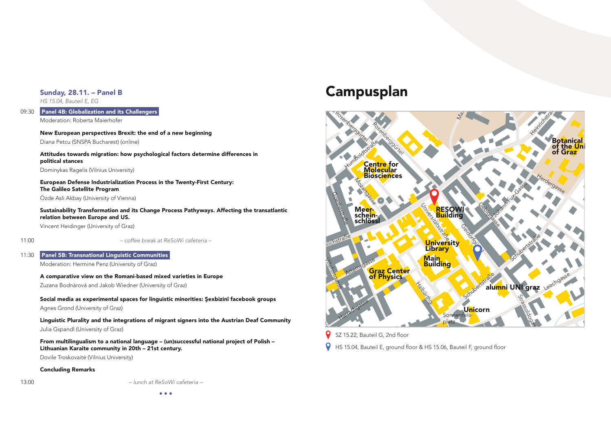#### Sunday, 28.11. – Panel B

*HS 15.04, Bauteil E, EG*

09:30 Panel 4B: Globalization and its Challengers

Moderation: Roberta Maierhofer

New European perspectives Brexit: the end of a new beginning Diana Petcu (SNSPA Bucharest) (online)

Attitudes towards migration: how psychological factors determine differences in political stances

Dominykas Ragelis (Vilnius University)

European Defense Industrialization Process in the Twenty-First Century: The Galileo Satellite Program Özde Asli Akbay (University of Vienna)

Sustainability Transformation and its Change Process Pathyways. Affecting the transatlantic

relation between Europe and US.

Vincent Heidinger (University of Graz)

11:00 *– coffee break at ReSoWi cafeteria –*

11:30 Panel 5B: Transnational Linguistic Communities

Moderation: Hermine Penz (University of Graz)

A comparative view on the Romani-based mixed varieties in Europe

Zuzana Bodnárová and Jakob Wiedner (University of Graz)

Social media as experimental spaces for linguistic minorities: Şexbizinî facebook groups

Agnes Grond (University of Graz)

Linguistic Plurality and the integrations of migrant signers into the Austrian Deaf Community Julia Gspandl (University of Graz)

From multilingualism to a national language – (un)successful national project of Polish – Lithuanian Karaite community in 20th – 21st century.

Dovile Troskovaitė (Vilnius University)

#### Concluding Remarks



# Aigner-Rollett-Allee Campusplan



SZ 15.22, Bauteil G, 2nd floor<br>HS 15.04, Bauteil E, around fl

 $\frac{1}{2}$  HS 15 HS 15.04, Bauteil E, ground floor & HS 15.06, Bauteil F, ground floor